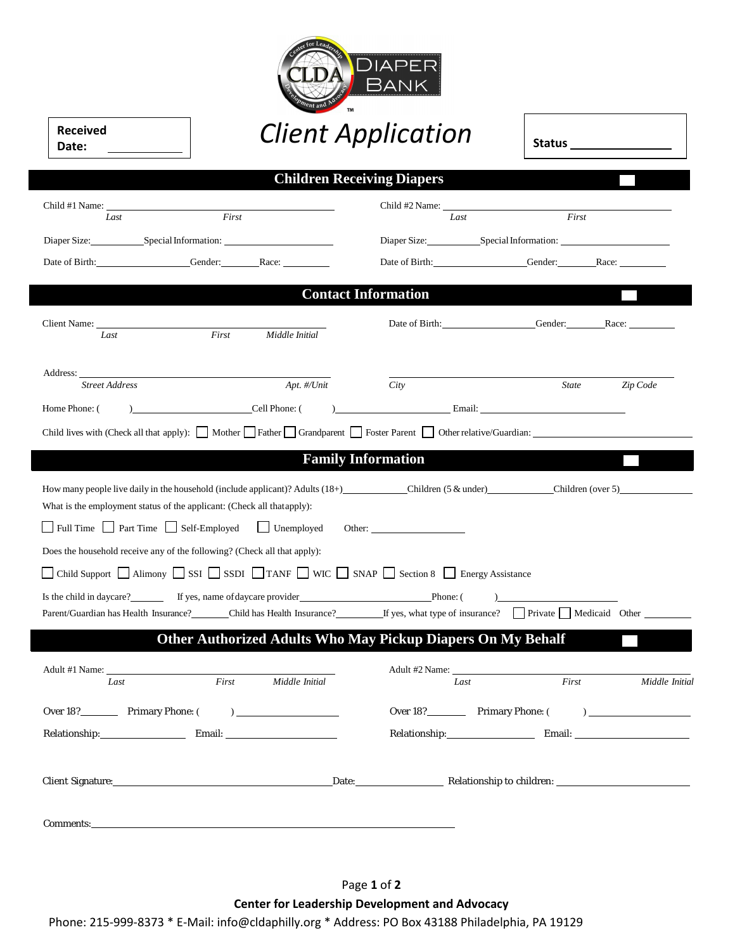

| Received |  |
|----------|--|
| Date:    |  |

# *Client Application*

| <b>Received</b><br>Date: |                                                 | <b>Client Application</b>         |                              |  |
|--------------------------|-------------------------------------------------|-----------------------------------|------------------------------|--|
|                          |                                                 | <b>Children Receiving Diapers</b> |                              |  |
|                          |                                                 |                                   | Child #2 Name:               |  |
| Last                     | First                                           | Last                              | First                        |  |
|                          | Diaper Size: Special Information: New York 1989 |                                   |                              |  |
|                          | Date of Birth: Gender: Race:                    |                                   | Date of Birth: Gender: Race: |  |
|                          |                                                 | <b>Contact Information</b>        |                              |  |
|                          |                                                 |                                   | Date of Birth: Gender: Race: |  |
| Last<br>Address:         | Middle Initial<br>First                         |                                   |                              |  |
| <b>Street Address</b>    | Apt. #/Unit                                     | City                              | Zip Code<br><b>State</b>     |  |

### **Family Information**

| How many people live daily in the household (include applicant)? Adults $(18+)$            | Children $(5 \&$ under)       | Children (over 5) |
|--------------------------------------------------------------------------------------------|-------------------------------|-------------------|
| What is the employment status of the applicant: (Check all that apply):                    |                               |                   |
| Full Time Part Time Self-Employed Unemployed                                               | Other: $\qquad \qquad \qquad$ |                   |
| Does the household receive any of the following? (Check all that apply):                   |                               |                   |
| □ Child Support □ Alimony □ SSI □ SSDI □ TANF □ WIC □ SNAP □ Section 8 □ Energy Assistance |                               |                   |
| Is the child in daycare?                                                                   | Phone:                        |                   |

### Parent/Guardian has Health Insurance? Child has Health Insurance? If yes, what type of insurance? Private Medicaid Other **Other Authorized Adults Who May Pickup Diapers On My Behalf**

| Last                        | First | Middle Initial | Last                                                                                                            | First                     | Middle Initial |
|-----------------------------|-------|----------------|-----------------------------------------------------------------------------------------------------------------|---------------------------|----------------|
| Over 18? Primary Phone: ()  |       |                | Over 18?                                                                                                        | Primary Phone: ()         |                |
| Relationship: Email: Email: |       |                | Relationship: New York Press, New York Press, New York Press, New York Press, New York Press, New York Press, N |                           |                |
|                             |       |                |                                                                                                                 | Relationship to children: |                |
| Comments:                   |       |                |                                                                                                                 |                           |                |

**Center for Leadership Development and Advocacy**

Phone: 215-999-8373 \* E-Mail: info@cldaphilly.org \* Address: PO Box 43188 Philadelphia, PA 19129